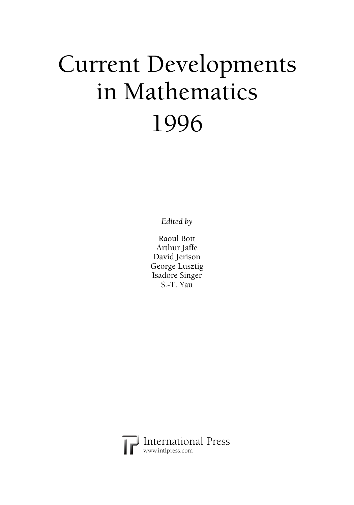## Current Developments in Mathematics 1996

*Edited by* 

Raoul Bott Arthur Jaffe David Jerison George Lusztig Isadore Singer S.-T. Yau

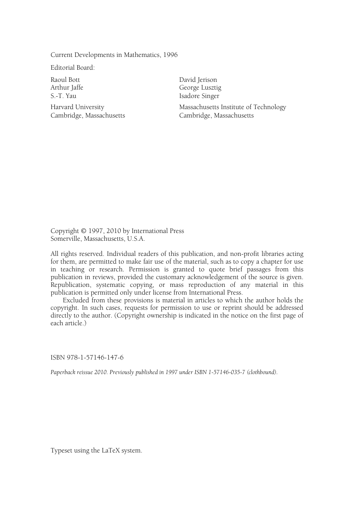Current Developments in Mathematics, 1996

Editorial Board:

Raoul Bott Arthur Jaffe S.-T. Yau

Harvard University Cambridge, Massachusetts

David Jerison George Lusztig Isadore Singer Massachusetts Institute of Technology Cambridge, Massachusetts

Copyright © 1997, 2010 by International Press Somerville, Massachusetts, U.S.A.

All rights reserved. Individual readers of this publication, and non-profit libraries acting for them, are permitted to make fair use of the material, such as to copy a chapter for use in teaching or research. Permission is granted to quote brief passages from this publication in reviews, provided the customary acknowledgement of the source is given. Republication, systematic copying, or mass reproduction of any material in this publication is permitted only under license from International Press.

 Excluded from these provisions is material in articles to which the author holds the copyright. In such cases, requests for permission to use or reprint should be addressed directly to the author. (Copyright ownership is indicated in the notice on the first page of each article.)

ISBN 978-1-57146-147-6

*Paperback reissue 2010. Previously published in 1997 under ISBN 1-57146-035-7 (clothbound).* 

Typeset using the LaTeX system.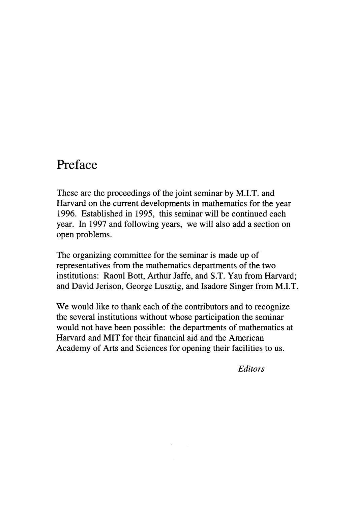## Preface

These are the proceedings of the joint seminar by M.I.T. and Harvard on the current developments in mathematics for the year 1996. Established in 1995, this seminar will be continued each year. In 1997 and following years, we will also add a section on open problems.

The organizing committee for the seminar is made up of representatives from the mathematics departments of the two institutions: Raoul Bott, Arthur Jaffe, and S.T. Yau from Harvard; and David Jerison, George Lusztig, and Isadore Singer from M.I.T.

We would like to thank each of the contributors and to recognize the several institutions without whose participation the seminar would not have been possible: the departments of mathematics at Harvard and MIT for their financial aid and the American Academy of Arts and Sciences for opening their facilities to us.

Editors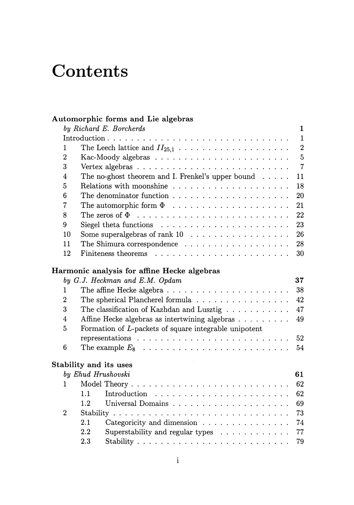## Contents

## Automorphic forms and Lie algebras

|                | by Richard E. Borcherds<br>$\mathbf{1}$                                         |
|----------------|---------------------------------------------------------------------------------|
|                | $\mathbf{1}$                                                                    |
| 1              | $\overline{2}$                                                                  |
| $\overline{2}$ | $\overline{5}$                                                                  |
| 3              | $\overline{7}$                                                                  |
| 4              | The no-ghost theorem and I. Frenkel's upper bound<br>11                         |
| 5              | 18                                                                              |
| 6              | 20                                                                              |
| $\overline{7}$ | 21<br>The automorphic form $\Phi$                                               |
| 8              | 22                                                                              |
| 9              | 23                                                                              |
| 10             | 26                                                                              |
| 11             | 28<br>The Shimura correspondence                                                |
| 12             | 30                                                                              |
|                | Harmonic analysis for affine Hecke algebras                                     |
|                | by G.J. Heckman and E.M. Opdam<br>37                                            |
| 1              | 38                                                                              |
| $\overline{2}$ | 42                                                                              |
| 3              | The classification of Kazhdan and Lusztig $\ldots \ldots \ldots$<br>47          |
| $\overline{4}$ | Affine Hecke algebras as intertwining algebras<br>49                            |
| 5              | Formation of L-packets of square integrable unipotent                           |
|                | representations $\ldots \ldots \ldots \ldots \ldots \ldots \ldots \ldots$<br>52 |
| 6              | 54                                                                              |
|                | Stability and its uses                                                          |
|                | by Ehud Hrushovski<br>61                                                        |
| 1              | 62                                                                              |
|                | 62<br>1.1                                                                       |
|                | 69<br>1.2                                                                       |
| $\overline{2}$ | 73                                                                              |
|                | 2.1<br>Categoricity and dimension<br>74                                         |
|                | 2.2<br>Superstability and regular types<br>77                                   |
|                | 79<br>2.3                                                                       |
|                |                                                                                 |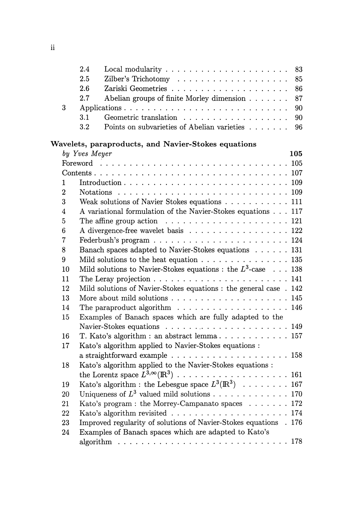| 3              |        | 2.4<br>Local modularity $\dots \dots \dots \dots \dots \dots \dots$<br>2.5<br>2.6<br>Abelian groups of finite Morley dimension<br>2.7<br>Geometric translation<br>3.1 | 83<br>85<br>86<br>87<br>90<br>90 |
|----------------|--------|-----------------------------------------------------------------------------------------------------------------------------------------------------------------------|----------------------------------|
|                |        | 3.2<br>Points on subvarieties of Abelian varieties                                                                                                                    | 96                               |
|                |        | Wavelets, paraproducts, and Navier-Stokes equations                                                                                                                   |                                  |
|                |        | by Yves Meyer                                                                                                                                                         | 105                              |
|                |        |                                                                                                                                                                       |                                  |
|                |        |                                                                                                                                                                       |                                  |
| 1              |        |                                                                                                                                                                       |                                  |
| $\overline{2}$ |        |                                                                                                                                                                       |                                  |
| 3              |        | Weak solutions of Navier Stokes equations 111                                                                                                                         |                                  |
| 4              |        | A variational formulation of the Navier-Stokes equations 117                                                                                                          |                                  |
| 5              |        | The affine group action $\ldots \ldots \ldots \ldots \ldots \ldots \ldots 121$                                                                                        |                                  |
| 6              |        | A divergence-free wavelet basis 122                                                                                                                                   |                                  |
| 7              |        |                                                                                                                                                                       |                                  |
| 8              |        | Banach spaces adapted to Navier-Stokes equations 131                                                                                                                  |                                  |
| 9              |        | Mild solutions to the heat equation $\ldots \ldots \ldots \ldots \ldots 135$                                                                                          |                                  |
|                | 10     | Mild solutions to Navier-Stokes equations : the $L^3$ -case 138                                                                                                       |                                  |
|                | 11     | The Leray projection $\ldots \ldots \ldots \ldots \ldots \ldots \ldots \ldots 141$                                                                                    |                                  |
|                | 12     | Mild solutions of Navier-Stokes equations : the general case . 142                                                                                                    |                                  |
|                | 13     |                                                                                                                                                                       |                                  |
|                | 14     | The paraproduct algorithm $\ldots \ldots \ldots \ldots \ldots \ldots 146$                                                                                             |                                  |
|                | 15     | Examples of Banach spaces which are fully adapted to the                                                                                                              |                                  |
|                |        |                                                                                                                                                                       |                                  |
|                | 16     | T. Kato's algorithm : an abstract lemma 157                                                                                                                           |                                  |
|                | 17     | Kato's algorithm applied to Navier-Stokes equations :                                                                                                                 |                                  |
|                |        |                                                                                                                                                                       |                                  |
|                | 18     | Kato's algorithm applied to the Navier-Stokes equations :                                                                                                             |                                  |
|                |        |                                                                                                                                                                       |                                  |
|                | 19     | Kato's algorithm : the Lebesgue space $L^3(\mathbb{R}^3) \cdot \cdot \cdot \cdot \cdot \cdot \cdot 167$                                                               |                                  |
|                | $20\,$ | Uniqueness of $L^3$ valued mild solutions 170                                                                                                                         |                                  |
|                | 21     | Kato's program: the Morrey-Campanato spaces 172                                                                                                                       |                                  |
|                | 22     |                                                                                                                                                                       |                                  |
|                | 23     | Improved regularity of solutions of Navier-Stokes equations . 176                                                                                                     |                                  |
|                | 24     | Examples of Banach spaces which are adapted to Kato's                                                                                                                 |                                  |
|                |        | algorithm $\ldots \ldots \ldots \ldots \ldots \ldots \ldots \ldots \ldots \ldots \ldots 178$                                                                          |                                  |